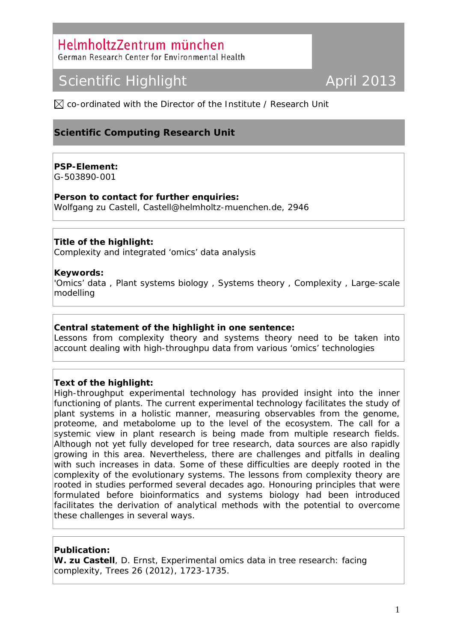## HelmholtzZentrum münchen

German Research Center for Environmental Health

# Scientific Highlight **April 2013**

 $\boxtimes$  co-ordinated with the Director of the Institute / Research Unit

### **Scientific Computing Research Unit**

#### **PSP-Element:**

G-503890-001

**Person to contact for further enquiries:**  Wolfgang zu Castell, [Castell@helmholtz-muenchen.de,](mailto:Castell@helmholtz-muenchen.de) 2946

#### **Title of the highlight:**

Complexity and integrated 'omics' data analysis

#### **Keywords:**

'Omics' data , Plant systems biology , Systems theory , Complexity , Large-scale modelling

#### **Central statement of the highlight in one sentence:**

Lessons from complexity theory and systems theory need to be taken into account dealing with high-throughpu data from various 'omics' technologies

#### **Text of the highlight:**

High-throughput experimental technology has provided insight into the inner functioning of plants. The current experimental technology facilitates the study of plant systems in a holistic manner, measuring observables from the genome, proteome, and metabolome up to the level of the ecosystem. The call for a systemic view in plant research is being made from multiple research fields. Although not yet fully developed for tree research, data sources are also rapidly growing in this area. Nevertheless, there are challenges and pitfalls in dealing with such increases in data. Some of these difficulties are deeply rooted in the complexity of the evolutionary systems. The lessons from complexity theory are rooted in studies performed several decades ago. Honouring principles that were formulated before bioinformatics and systems biology had been introduced facilitates the derivation of analytical methods with the potential to overcome these challenges in several ways.

#### **Publication:**

**W. zu Castell**, D. Ernst, Experimental omics data in tree research: facing complexity, Trees 26 (2012), 1723-1735.